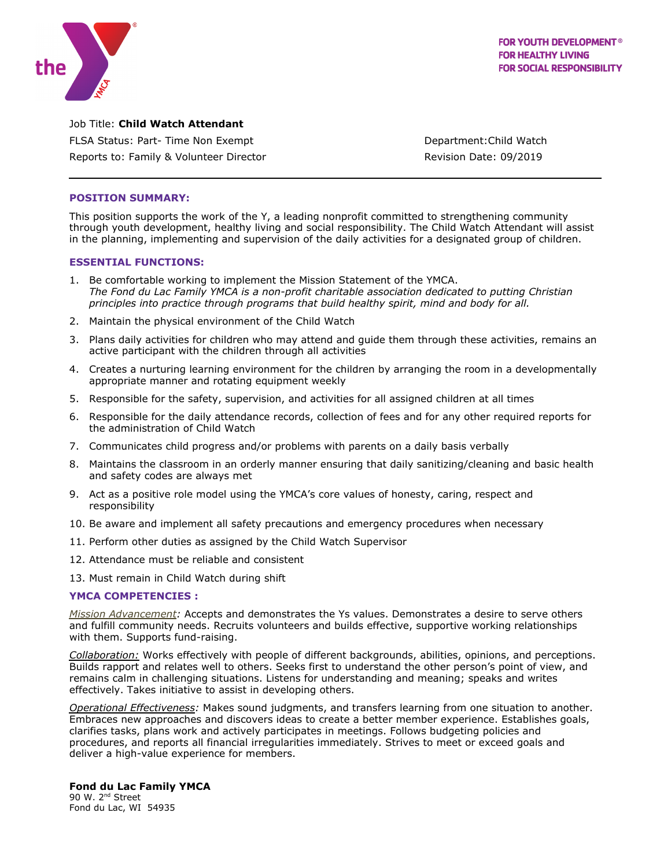

Job Title: **Child Watch Attendant** FLSA Status: Part- Time Non Exempt Department: Child Watch Reports to: Family & Volunteer Director **Reports** Revision Date: 09/2019

## **POSITION SUMMARY:**

This position supports the work of the Y, a leading nonprofit committed to strengthening community through youth development, healthy living and social responsibility. The Child Watch Attendant will assist in the planning, implementing and supervision of the daily activities for a designated group of children.

#### **ESSENTIAL FUNCTIONS:**

- 1. Be comfortable working to implement the Mission Statement of the YMCA. *The Fond du Lac Family YMCA is a non-profit charitable association dedicated to putting Christian principles into practice through programs that build healthy spirit, mind and body for all.*
- 2. Maintain the physical environment of the Child Watch
- 3. Plans daily activities for children who may attend and guide them through these activities, remains an active participant with the children through all activities
- 4. Creates a nurturing learning environment for the children by arranging the room in a developmentally appropriate manner and rotating equipment weekly
- 5. Responsible for the safety, supervision, and activities for all assigned children at all times
- 6. Responsible for the daily attendance records, collection of fees and for any other required reports for the administration of Child Watch
- 7. Communicates child progress and/or problems with parents on a daily basis verbally
- 8. Maintains the classroom in an orderly manner ensuring that daily sanitizing/cleaning and basic health and safety codes are always met
- 9. Act as a positive role model using the YMCA's core values of honesty, caring, respect and responsibility
- 10. Be aware and implement all safety precautions and emergency procedures when necessary
- 11. Perform other duties as assigned by the Child Watch Supervisor
- 12. Attendance must be reliable and consistent
- 13. Must remain in Child Watch during shift

# **YMCA COMPETENCIES :**

*Mission Advancement:* Accepts and demonstrates the Ys values. Demonstrates a desire to serve others and fulfill community needs. Recruits volunteers and builds effective, supportive working relationships with them. Supports fund-raising.

*Collaboration:* Works effectively with people of different backgrounds, abilities, opinions, and perceptions. Builds rapport and relates well to others. Seeks first to understand the other person's point of view, and remains calm in challenging situations. Listens for understanding and meaning; speaks and writes effectively. Takes initiative to assist in developing others.

*Operational Effectiveness:* Makes sound judgments, and transfers learning from one situation to another. Embraces new approaches and discovers ideas to create a better member experience. Establishes goals, clarifies tasks, plans work and actively participates in meetings. Follows budgeting policies and procedures, and reports all financial irregularities immediately. Strives to meet or exceed goals and deliver a high-value experience for members.

# **Fond du Lac Family YMCA**

90 W. 2<sup>nd</sup> Street Fond du Lac, WI 54935